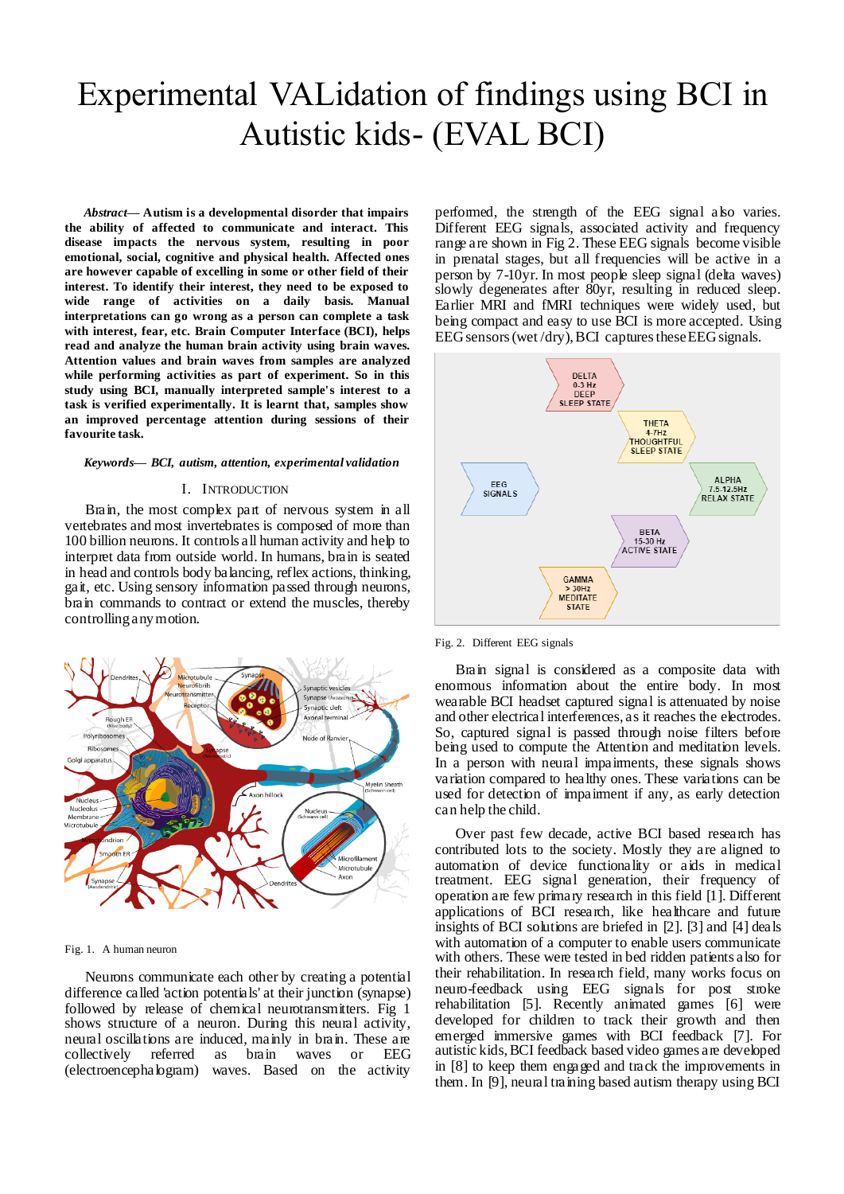# Experimental VALidation of findings using BCI in Autistic kids- (EVAL BCI)

*Abstract***— Autism is a developmental disorder that impairs the ability of affected to communicate and interact. This disease impacts the nervous system, resulting in poor emotional, social, cognitive and physical health. Affected ones are however capable of excelling in some or other field of their interest. To identify their interest, they need to be exposed to wide range of activities on a daily basis. Manual interpretations can go wrong as a person can complete a task with interest, fear, etc. Brain Computer Interface (BCI), helps read and analyze the human brain activity using brain waves. Attention values and brain waves from samples are analyzed while performing activities as part of experiment. So in this study using BCI, manually interpreted sample's interest to a task is verified experimentally. It is learnt that, samples show an improved percentage attention during sessions of their favourite task.**

#### *Keywords— BCI, autism, attention, experimental validation*

#### I. INTRODUCTION

Brain, the most complex part of nervous system in all vertebrates and most invertebrates is composed of more than 100 billion neurons. It controls all human activity and help to interpret data from outside world. In humans, brain is seated in head and controls body balancing, reflex actions, thinking, gait, etc. Using sensory information passed through neurons, brain commands to contract or extend the muscles, thereby controlling any motion.



#### Fig. 1. A human neuron

Neurons communicate each other by creating a potential difference called 'action potentials' at their junction (synapse) followed by release of chemical neurotransmitters. Fig 1 shows structure of a neuron. During this neural activity, neural oscillations are induced, mainly in brain. These are collectively referred as brain waves or EEG (electroencephalogram) waves. Based on the activity

performed, the strength of the EEG signal also varies. Different EEG signals, associated activity and frequency range are shown in Fig 2. These EEG signals become visible in prenatal stages, but all frequencies will be active in a person by 7-10yr. In most people sleep signal (delta waves) slowly degenerates after 80yr, resulting in reduced sleep. Earlier MRI and fMRI techniques were widely used, but being compact and easy to use BCI is more accepted. Using EEG sensors (wet /dry), BCI captures these EEG signals.



Fig. 2. Different EEG signals

Brain signal is considered as a composite data with enormous information about the entire body. In most wearable BCI headset captured signal is attenuated by noise and other electrical interferences, as it reaches the electrodes. So, captured signal is passed through noise filters before being used to compute the Attention and meditation levels. In a person with neural impairments, these signals shows variation compared to healthy ones. These variations can be used for detection of impairment if any, as early detection can help the child.

Over past few decade, active BCI based research has contributed lots to the society. Mostly they are aligned to automation of device functionality or aids in medical treatment. EEG signal generation, their frequency of operation are few primary research in this field [1]. Different applications of BCI research, like healthcare and future insights of BCI solutions are briefed in [2]. [3] and [4] deals with automation of a computer to enable users communicate with others. These were tested in bed ridden patients also for their rehabilitation. In research field, many works focus on neuro-feedback using EEG signals for post stroke rehabilitation [5]. Recently animated games [6] were developed for children to track their growth and then emerged immersive games with BCI feedback [7]. For autistic kids, BCI feedback based video games are developed in [8] to keep them engaged and track the improvements in them. In [9], neural training based autism therapy using BCI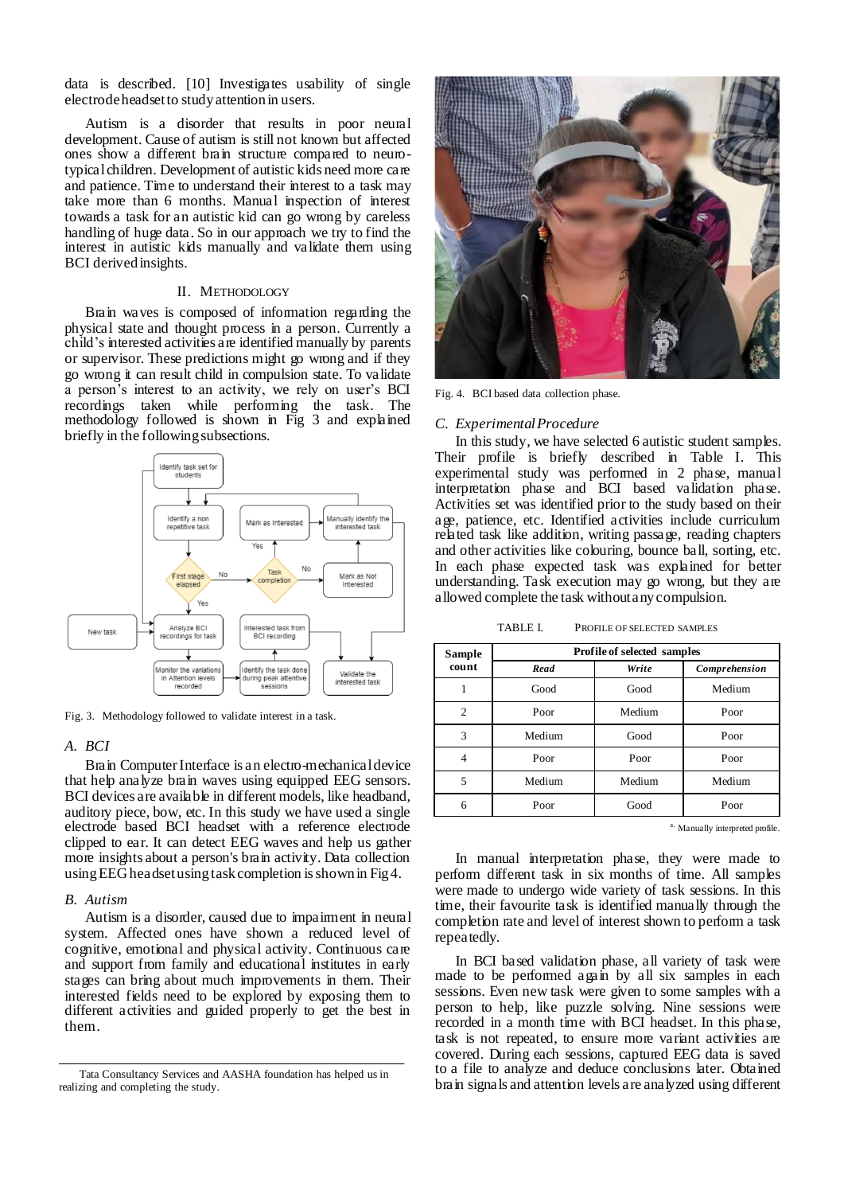data is described. [10] Investigates usability of single electrode headset to study attention in users.

Autism is a disorder that results in poor neural development. Cause of autism is still not known but affected ones show a different brain structure compared to neurotypical children. Development of autistic kids need more care and patience. Time to understand their interest to a task may take more than 6 months. Manual inspection of interest towards a task for an autistic kid can go wrong by careless handling of huge data. So in our approach we try to find the interest in autistic kids manually and validate them using BCI derived insights.

# II. METHODOLOGY

Brain waves is composed of information regarding the physical state and thought process in a person. Currently a child's interested activities are identified manually by parents or supervisor. These predictions might go wrong and if they go wrong it can result child in compulsion state. To validate a person's interest to an activity, we rely on user's BCI recordings taken while performing the task. The methodology followed is shown in Fig 3 and explained briefly in the following subsections.



Fig. 3. Methodology followed to validate interest in a task.

## *A. BCI*

Brain Computer Interface is an electro-mechanical device that help analyze brain waves using equipped EEG sensors. BCI devices are available in different models, like headband, auditory piece, bow, etc. In this study we have used a single electrode based BCI headset with a reference electrode clipped to ear. It can detect EEG waves and help us gather more insights about a person's brain activity. Data collection using EEG headset using task completion is shown in Fig 4.

# *B. Autism*

Autism is a disorder, caused due to impairment in neural system. Affected ones have shown a reduced level of cognitive, emotional and physical activity. Continuous care and support from family and educational institutes in early stages can bring about much improvements in them. Their interested fields need to be explored by exposing them to different activities and guided properly to get the best in them.



Fig. 4. BCI based data collection phase.

### *C. Experimental Procedure*

In this study, we have selected 6 autistic student samples. Their profile is briefly described in Table I. This experimental study was performed in 2 phase, manual interpretation phase and BCI based validation phase. Activities set was identified prior to the study based on their age, patience, etc. Identified activities include curriculum related task like addition, writing passage, reading chapters and other activities like colouring, bounce ball, sorting, etc. In each phase expected task was explained for better understanding. Task execution may go wrong, but they are allowed complete the task without any compulsion.

TABLE I. PROFILE OF SELECTED SAMPLES

| Sample<br>count | <b>Profile of selected samples</b> |        |               |  |  |
|-----------------|------------------------------------|--------|---------------|--|--|
|                 | Read                               | Write  | Comprehension |  |  |
|                 | Good                               | Good   | Medium        |  |  |
| $\overline{c}$  | Poor                               | Medium | Poor          |  |  |
| 3               | Medium                             | Good   | Poor          |  |  |
| 4               | Poor                               | Poor   | Poor          |  |  |
| 5               | Medium                             | Medium | Medium        |  |  |
| 6               | Poor                               | Good   | Poor          |  |  |

a. Manually interpreted profile.

In manual interpretation phase, they were made to perform different task in six months of time. All samples were made to undergo wide variety of task sessions. In this time, their favourite task is identified manually through the completion rate and level of interest shown to perform a task repeatedly.

In BCI based validation phase, all variety of task were made to be performed again by all six samples in each sessions. Even new task were given to some samples with a person to help, like puzzle solving. Nine sessions were recorded in a month time with BCI headset. In this phase, task is not repeated, to ensure more variant activities are covered. During each sessions, captured EEG data is saved to a file to analyze and deduce conclusions later. Obtained brain signals and attention levels are analyzed using different

Tata Consultancy Services and AASHA foundation has helped us in realizing and completing the study.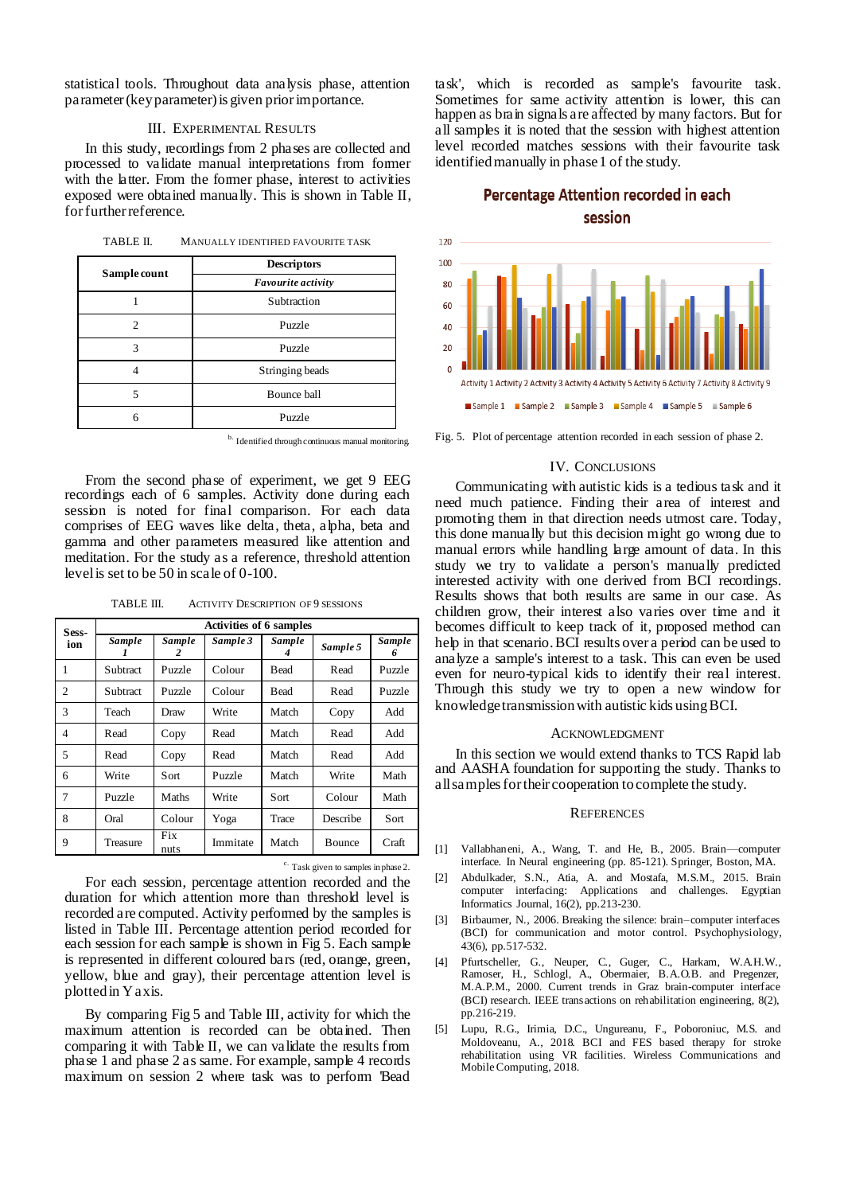statistical tools. Throughout data analysis phase, attention parameter (key parameter) is given prior importance.

#### III. EXPERIMENTAL RESULTS

In this study, recordings from 2 phases are collected and processed to validate manual interpretations from former with the latter. From the former phase, interest to activities exposed were obtained manually. This is shown in Table II, for further reference.

| TABLE II. |  | MANUALLY IDENTIFIED FAVOURITE TASK |
|-----------|--|------------------------------------|
|           |  |                                    |

| Sample count | <b>Descriptors</b><br>Favourite activity |  |  |  |
|--------------|------------------------------------------|--|--|--|
|              |                                          |  |  |  |
|              | Subtraction                              |  |  |  |
|              | Puzzle                                   |  |  |  |
|              | Puzzle                                   |  |  |  |
|              | Stringing beads                          |  |  |  |
|              | Bounce ball                              |  |  |  |
|              | Puzzle                                   |  |  |  |

b. Identified through continuous manual monitoring.

From the second phase of experiment, we get 9 EEG recordings each of 6 samples. Activity done during each session is noted for final comparison. For each data comprises of EEG waves like delta, theta, alpha, beta and gamma and other parameters measured like attention and meditation. For the study as a reference, threshold attention level is set to be 50 in scale of 0-100.

TABLE III. ACTIVITY DESCRIPTION OF 9 SESSIONS

| Sess-<br>ion   | <b>Activities of 6 samples</b> |                    |          |        |          |             |  |
|----------------|--------------------------------|--------------------|----------|--------|----------|-------------|--|
|                | Sample                         | <b>Sample</b><br>2 | Sample 3 | Sample | Sample 5 | Sample<br>6 |  |
| 1              | Subtract                       | Puzzle             | Colour   | Bead   | Read     | Puzzle      |  |
| 2              | Subtract                       | Puzzle             | Colour   | Bead   | Read     | Puzzle      |  |
| 3              | Teach                          | Draw               | Write    | Match  | Copy     | Add         |  |
| $\overline{4}$ | Read                           | Copy               | Read     | Match  | Read     | Add         |  |
| 5              | Read                           | Copy               | Read     | Match  | Read     | Add         |  |
| 6              | Write                          | Sort               | Puzzle   | Match  | Write    | Math        |  |
| 7              | Puzzle                         | Maths              | Write    | Sort   | Colour   | Math        |  |
| 8              | Oral                           | Colour             | Yoga     | Trace  | Describe | Sort        |  |
| 9              | Treasure                       | Fix<br>nuts        | Immitate | Match  | Bounce   | Craft       |  |

c. Task given to samples in phase 2.

For each session, percentage attention recorded and the duration for which attention more than threshold level is recorded are computed. Activity performed by the samples is listed in Table III. Percentage attention period recorded for each session for each sample is shown in Fig 5. Each sample is represented in different coloured bars (red, orange, green, yellow, blue and gray), their percentage attention level is plotted in Y axis.

By comparing Fig 5 and Table III, activity for which the maximum attention is recorded can be obtained. Then comparing it with Table II, we can validate the results from phase 1 and phase 2 as same. For example, sample 4 records maximum on session 2 where task was to perform 'Bead

task', which is recorded as sample's favourite task. Sometimes for same activity attention is lower, this can happen as brain signals are affected by many factors. But for all samples it is noted that the session with highest attention level recorded matches sessions with their favourite task identified manually in phase 1 of the study.

# Percentage Attention recorded in each session



Fig. 5. Plot of percentage attention recorded in each session of phase 2.

# IV. CONCLUSIONS

Communicating with autistic kids is a tedious task and it need much patience. Finding their area of interest and promoting them in that direction needs utmost care. Today, this done manually but this decision might go wrong due to manual errors while handling large amount of data. In this study we try to validate a person's manually predicted interested activity with one derived from BCI recordings. Results shows that both results are same in our case. As children grow, their interest also varies over time and it becomes difficult to keep track of it, proposed method can help in that scenario. BCI results over a period can be used to analyze a sample's interest to a task. This can even be used even for neuro-typical kids to identify their real interest. Through this study we try to open a new window for knowledge transmission with autistic kids using BCI.

#### ACKNOWLEDGMENT

In this section we would extend thanks to TCS Rapid lab and AASHA foundation for supporting the study. Thanks to all samples for their cooperation to complete the study.

#### **REFERENCES**

- [1] Vallabhaneni, A., Wang, T. and He, B., 2005. Brain—computer interface. In Neural engineering (pp. 85-121). Springer, Boston, MA.
- [2] Abdulkader, S.N., Atia, A. and Mostafa, M.S.M., 2015. Brain computer interfacing: Applications and challenges. Egyptian Informatics Journal, 16(2), pp.213-230.
- [3] Birbaumer, N., 2006. Breaking the silence: brain–computer interfaces (BCI) for communication and motor control. Psychophysiology, 43(6), pp.517-532.
- [4] Pfurtscheller, G., Neuper, C., Guger, C., Harkam, W.A.H.W., Ramoser, H., Schlogl, A., Obermaier, B.A.O.B. and Pregenzer, M.A.P.M., 2000. Current trends in Graz brain-computer interface (BCI) research. IEEE transactions on rehabilitation engineering, 8(2), pp.216-219.
- [5] Lupu, R.G., Irimia, D.C., Ungureanu, F., Poboroniuc, M.S. and Moldoveanu, A., 2018. BCI and FES based therapy for stroke rehabilitation using VR facilities. Wireless Communications and Mobile Computing, 2018.